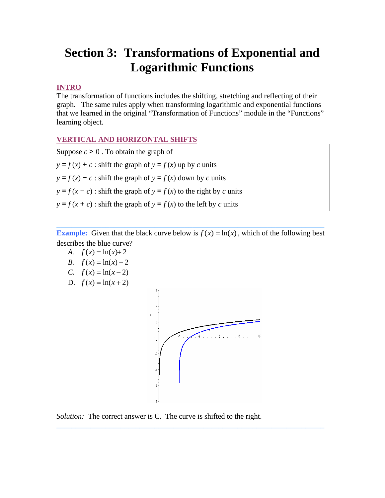# **Section 3: Transformations of Exponential and Logarithmic Functions**

## **INTRO**

The transformation of functions includes the shifting, stretching and reflecting of their graph. The same rules apply when transforming logarithmic and exponential functions that we learned in the original "Transformation of Functions" module in the "Functions" learning object.

## **VERTICAL AND HORIZONTAL SHIFTS**

Suppose  $c > 0$ . To obtain the graph of  $y = f(x) + c$ : shift the graph of  $y = f(x)$  up by *c* units  $y = f(x) - c$ : shift the graph of  $y = f(x)$  down by *c* units  $y = f(x - c)$ : shift the graph of  $y = f(x)$  to the right by *c* units  $y = f(x + c)$ : shift the graph of  $y = f(x)$  to the left by *c* units

**Example:** Given that the black curve below is  $f(x) = \ln(x)$ , which of the following best describes the blue curve?

- *A.*  $f(x) = \ln(x) + 2$
- *B.*  $f(x) = \ln(x) 2$
- *C.*  $f(x) = \ln(x-2)$
- D.  $f(x) = \ln(x + 2)$



*Solution:* The correct answer is C. The curve is shifted to the right.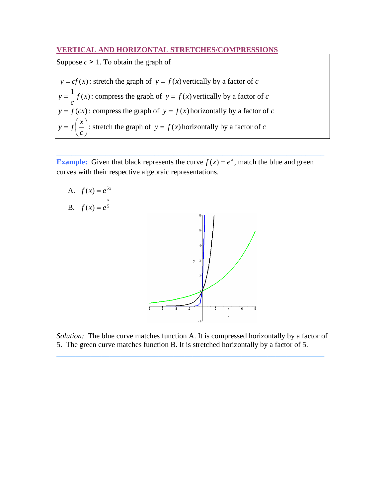### **VERTICAL AND HORIZONTAL STRETCHES/COMPRESSIONS**

Suppose *c* > 1. To obtain the graph of

 $y = cf(x)$ : stretch the graph of  $y = f(x)$  vertically by a factor of *c*  $\frac{1}{f(x)}$ *c*  $y = -f(x)$ : compress the graph of  $y = f(x)$  vertically by a factor of *c*  $y = f(cx)$ : compress the graph of  $y = f(x)$  horizontally by a factor of *c*  $\overline{a}$ ⎠  $\left(\frac{x}{x}\right)$  $y = f\left(\frac{x}{c}\right)$ : stretch the graph of  $y = f(x)$  horizontally by a factor of *c* 

**Example:** Given that black represents the curve  $f(x) = e^x$ , match the blue and green curves with their respective algebraic representations.

A.  $f(x) = e^{5x}$ B.  $f(x) = e^5$ *x*  $f(x) = e$ 

*Solution:* The blue curve matches function A. It is compressed horizontally by a factor of 5. The green curve matches function B. It is stretched horizontally by a factor of 5.

**\_\_\_\_\_\_\_\_\_\_\_\_\_\_\_\_\_\_\_\_\_\_\_\_\_\_\_\_\_\_\_\_\_\_\_\_\_\_\_\_\_\_\_\_\_\_\_\_\_\_\_\_\_\_\_\_\_\_\_\_\_\_\_\_\_\_\_\_\_\_\_**